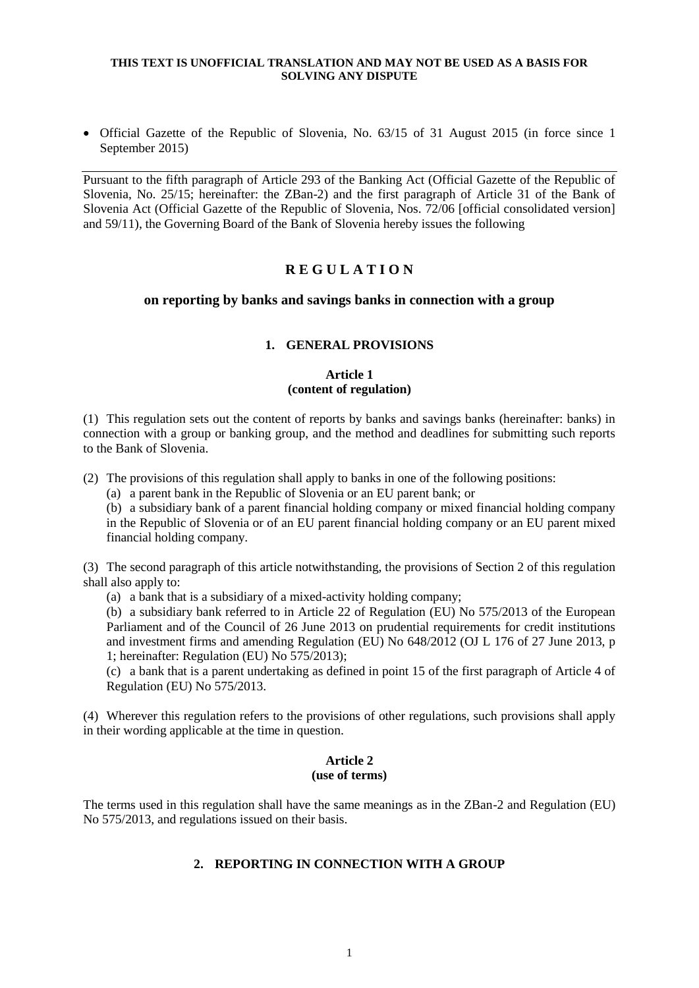Official Gazette of the Republic of Slovenia, No. 63/15 of 31 August 2015 (in force since 1 September 2015)

Pursuant to the fifth paragraph of Article 293 of the Banking Act (Official Gazette of the Republic of Slovenia, No. 25/15; hereinafter: the ZBan-2) and the first paragraph of Article 31 of the Bank of Slovenia Act (Official Gazette of the Republic of Slovenia, Nos. 72/06 [official consolidated version] and 59/11), the Governing Board of the Bank of Slovenia hereby issues the following

# **R E G U L A T I O N**

# **on reporting by banks and savings banks in connection with a group**

# **1. GENERAL PROVISIONS**

# **Article 1 (content of regulation)**

(1) This regulation sets out the content of reports by banks and savings banks (hereinafter: banks) in connection with a group or banking group, and the method and deadlines for submitting such reports to the Bank of Slovenia.

(2) The provisions of this regulation shall apply to banks in one of the following positions:

(a) a parent bank in the Republic of Slovenia or an EU parent bank; or

(b) a subsidiary bank of a parent financial holding company or mixed financial holding company in the Republic of Slovenia or of an EU parent financial holding company or an EU parent mixed financial holding company.

(3) The second paragraph of this article notwithstanding, the provisions of Section 2 of this regulation shall also apply to:

(a) a bank that is a subsidiary of a mixed-activity holding company;

(b) a subsidiary bank referred to in Article 22 of Regulation (EU) No 575/2013 of the European Parliament and of the Council of 26 June 2013 on prudential requirements for credit institutions and investment firms and amending Regulation (EU) No 648/2012 (OJ L 176 of 27 June 2013, p 1; hereinafter: Regulation (EU) No 575/2013);

(c) a bank that is a parent undertaking as defined in point 15 of the first paragraph of Article 4 of Regulation (EU) No 575/2013.

(4) Wherever this regulation refers to the provisions of other regulations, such provisions shall apply in their wording applicable at the time in question.

## **Article 2 (use of terms)**

The terms used in this regulation shall have the same meanings as in the ZBan-2 and Regulation (EU) No 575/2013, and regulations issued on their basis.

# **2. REPORTING IN CONNECTION WITH A GROUP**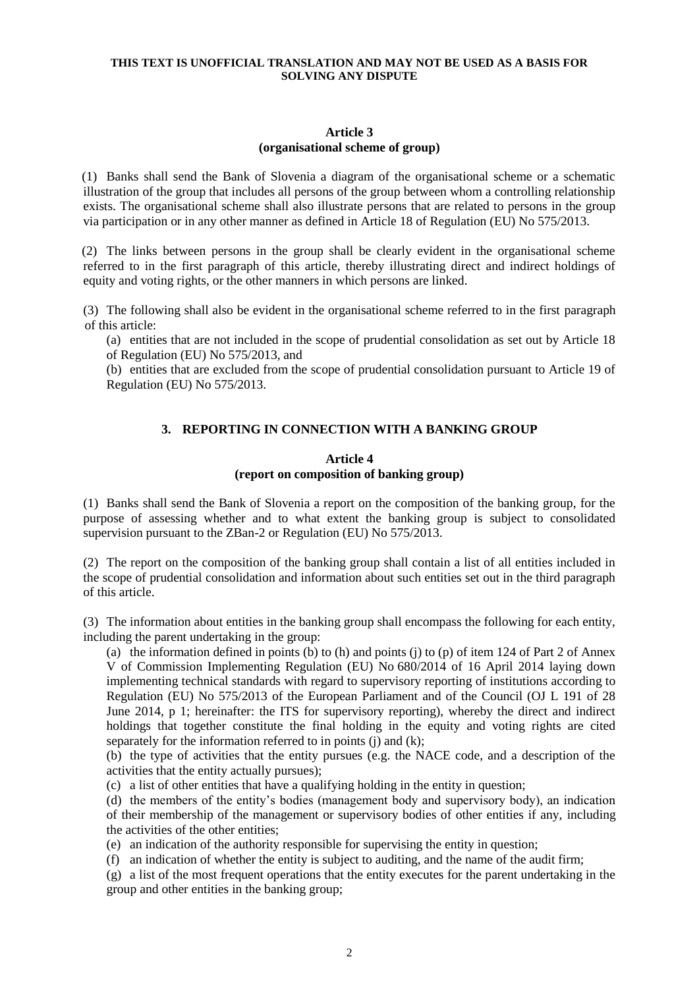#### **Article 3 (organisational scheme of group)**

(1) Banks shall send the Bank of Slovenia a diagram of the organisational scheme or a schematic illustration of the group that includes all persons of the group between whom a controlling relationship exists. The organisational scheme shall also illustrate persons that are related to persons in the group via participation or in any other manner as defined in Article 18 of Regulation (EU) No 575/2013.

(2) The links between persons in the group shall be clearly evident in the organisational scheme referred to in the first paragraph of this article, thereby illustrating direct and indirect holdings of equity and voting rights, or the other manners in which persons are linked.

(3) The following shall also be evident in the organisational scheme referred to in the first paragraph of this article:

(a) entities that are not included in the scope of prudential consolidation as set out by Article 18 of Regulation (EU) No 575/2013, and

(b) entities that are excluded from the scope of prudential consolidation pursuant to Article 19 of Regulation (EU) No 575/2013.

# **3. REPORTING IN CONNECTION WITH A BANKING GROUP**

#### **Article 4 (report on composition of banking group)**

(1) Banks shall send the Bank of Slovenia a report on the composition of the banking group, for the purpose of assessing whether and to what extent the banking group is subject to consolidated supervision pursuant to the ZBan-2 or Regulation (EU) No 575/2013.

(2) The report on the composition of the banking group shall contain a list of all entities included in the scope of prudential consolidation and information about such entities set out in the third paragraph of this article.

(3) The information about entities in the banking group shall encompass the following for each entity, including the parent undertaking in the group:

(a) the information defined in points (b) to (h) and points (j) to (p) of item 124 of Part 2 of Annex V of Commission Implementing Regulation (EU) No 680/2014 of 16 April 2014 laying down implementing technical standards with regard to supervisory reporting of institutions according to Regulation (EU) No 575/2013 of the European Parliament and of the Council (OJ L 191 of 28 June 2014, p 1; hereinafter: the ITS for supervisory reporting), whereby the direct and indirect holdings that together constitute the final holding in the equity and voting rights are cited separately for the information referred to in points  $(i)$  and  $(k)$ ;

(b) the type of activities that the entity pursues (e.g. the NACE code, and a description of the activities that the entity actually pursues);

(c) a list of other entities that have a qualifying holding in the entity in question;

(d) the members of the entity's bodies (management body and supervisory body), an indication of their membership of the management or supervisory bodies of other entities if any, including the activities of the other entities;

(e) an indication of the authority responsible for supervising the entity in question;

(f) an indication of whether the entity is subject to auditing, and the name of the audit firm;

(g) a list of the most frequent operations that the entity executes for the parent undertaking in the group and other entities in the banking group;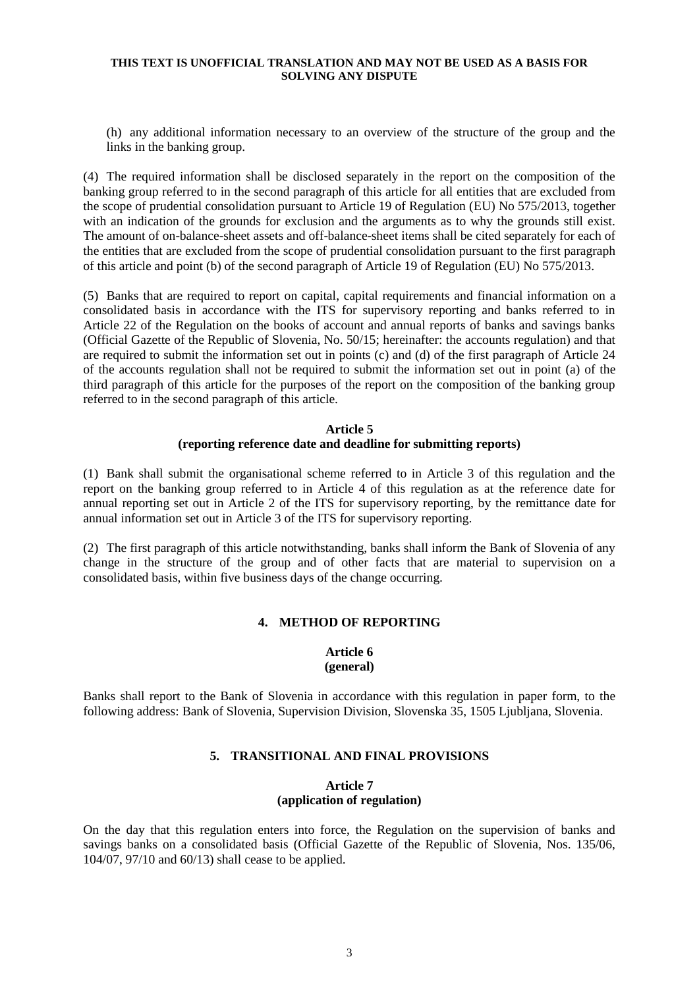(h) any additional information necessary to an overview of the structure of the group and the links in the banking group.

(4) The required information shall be disclosed separately in the report on the composition of the banking group referred to in the second paragraph of this article for all entities that are excluded from the scope of prudential consolidation pursuant to Article 19 of Regulation (EU) No 575/2013, together with an indication of the grounds for exclusion and the arguments as to why the grounds still exist. The amount of on-balance-sheet assets and off-balance-sheet items shall be cited separately for each of the entities that are excluded from the scope of prudential consolidation pursuant to the first paragraph of this article and point (b) of the second paragraph of Article 19 of Regulation (EU) No 575/2013.

(5) Banks that are required to report on capital, capital requirements and financial information on a consolidated basis in accordance with the ITS for supervisory reporting and banks referred to in Article 22 of the Regulation on the books of account and annual reports of banks and savings banks (Official Gazette of the Republic of Slovenia, No. 50/15; hereinafter: the accounts regulation) and that are required to submit the information set out in points (c) and (d) of the first paragraph of Article 24 of the accounts regulation shall not be required to submit the information set out in point (a) of the third paragraph of this article for the purposes of the report on the composition of the banking group referred to in the second paragraph of this article.

## **Article 5 (reporting reference date and deadline for submitting reports)**

(1) Bank shall submit the organisational scheme referred to in Article 3 of this regulation and the report on the banking group referred to in Article 4 of this regulation as at the reference date for annual reporting set out in Article 2 of the ITS for supervisory reporting, by the remittance date for annual information set out in Article 3 of the ITS for supervisory reporting.

(2) The first paragraph of this article notwithstanding, banks shall inform the Bank of Slovenia of any change in the structure of the group and of other facts that are material to supervision on a consolidated basis, within five business days of the change occurring.

## **4. METHOD OF REPORTING**

#### **Article 6 (general)**

Banks shall report to the Bank of Slovenia in accordance with this regulation in paper form, to the following address: Bank of Slovenia, Supervision Division, Slovenska 35, 1505 Ljubljana, Slovenia.

## **5. TRANSITIONAL AND FINAL PROVISIONS**

## **Article 7 (application of regulation)**

On the day that this regulation enters into force, the Regulation on the supervision of banks and savings banks on a consolidated basis (Official Gazette of the Republic of Slovenia, Nos. 135/06, 104/07, 97/10 and 60/13) shall cease to be applied.